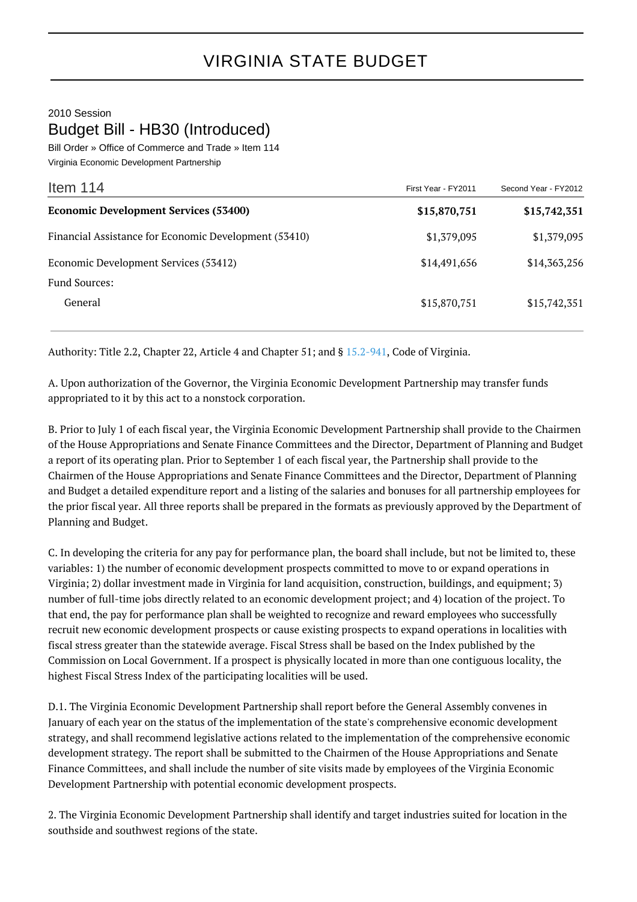## 2010 Session Budget Bill - HB30 (Introduced)

Bill Order » Office of Commerce and Trade » Item 114 Virginia Economic Development Partnership

| Item $114$                                            | First Year - FY2011 | Second Year - FY2012 |
|-------------------------------------------------------|---------------------|----------------------|
| <b>Economic Development Services (53400)</b>          | \$15,870,751        | \$15,742,351         |
| Financial Assistance for Economic Development (53410) | \$1,379,095         | \$1,379,095          |
| Economic Development Services (53412)                 | \$14,491,656        | \$14,363,256         |
| <b>Fund Sources:</b>                                  |                     |                      |
| General                                               | \$15,870,751        | \$15,742,351         |

Authority: Title 2.2, Chapter 22, Article 4 and Chapter 51; and § [15.2-941](http://law.lis.virginia.gov/vacode/15.2-941/), Code of Virginia.

A. Upon authorization of the Governor, the Virginia Economic Development Partnership may transfer funds appropriated to it by this act to a nonstock corporation.

B. Prior to July 1 of each fiscal year, the Virginia Economic Development Partnership shall provide to the Chairmen of the House Appropriations and Senate Finance Committees and the Director, Department of Planning and Budget a report of its operating plan. Prior to September 1 of each fiscal year, the Partnership shall provide to the Chairmen of the House Appropriations and Senate Finance Committees and the Director, Department of Planning and Budget a detailed expenditure report and a listing of the salaries and bonuses for all partnership employees for the prior fiscal year. All three reports shall be prepared in the formats as previously approved by the Department of Planning and Budget.

C. In developing the criteria for any pay for performance plan, the board shall include, but not be limited to, these variables: 1) the number of economic development prospects committed to move to or expand operations in Virginia; 2) dollar investment made in Virginia for land acquisition, construction, buildings, and equipment; 3) number of full-time jobs directly related to an economic development project; and 4) location of the project. To that end, the pay for performance plan shall be weighted to recognize and reward employees who successfully recruit new economic development prospects or cause existing prospects to expand operations in localities with fiscal stress greater than the statewide average. Fiscal Stress shall be based on the Index published by the Commission on Local Government. If a prospect is physically located in more than one contiguous locality, the highest Fiscal Stress Index of the participating localities will be used.

D.1. The Virginia Economic Development Partnership shall report before the General Assembly convenes in January of each year on the status of the implementation of the state's comprehensive economic development strategy, and shall recommend legislative actions related to the implementation of the comprehensive economic development strategy. The report shall be submitted to the Chairmen of the House Appropriations and Senate Finance Committees, and shall include the number of site visits made by employees of the Virginia Economic Development Partnership with potential economic development prospects.

2. The Virginia Economic Development Partnership shall identify and target industries suited for location in the southside and southwest regions of the state.